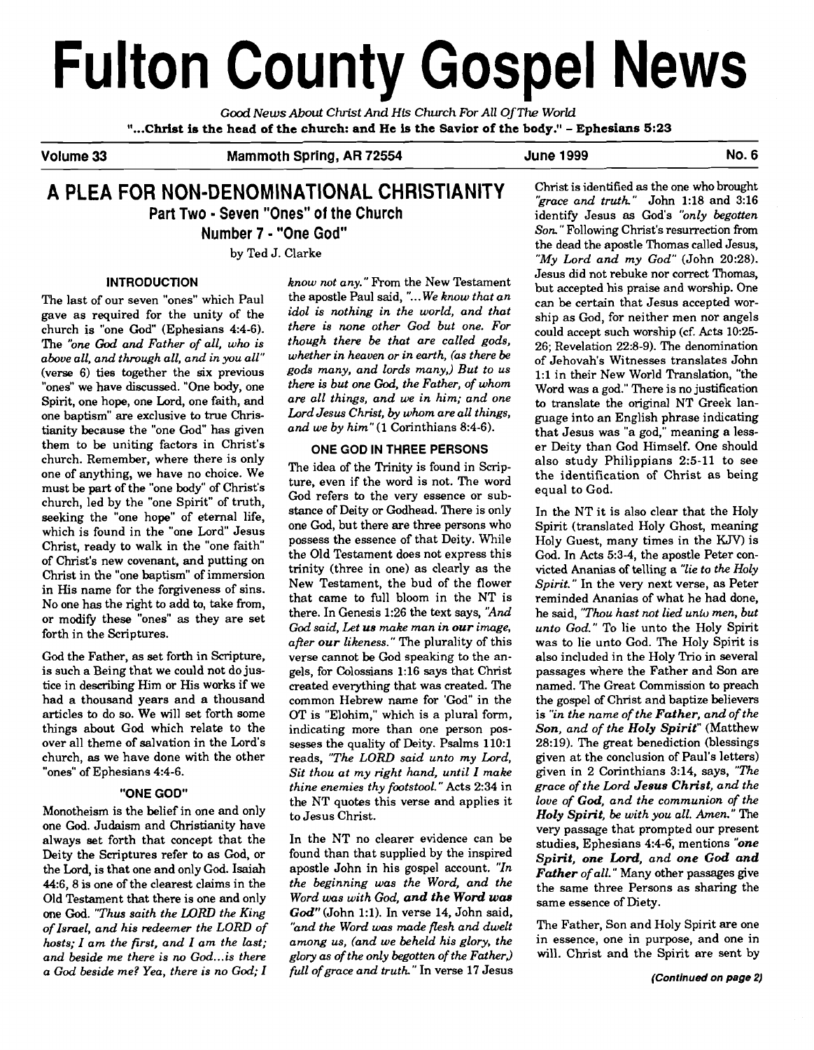# **Fulton County Gospel News**

*Good News About Christ And His Church For All Of The World* **"... Christ is the head of the church: and He is the Savior of the body." - Ephesians 5:23** 

Volume 33 Mammoth Spring, AR 72554 June 1999 June 1999

# **A PLEA FOR NON-DENOMINATIONAL CHRISTIANITY Part Two** - **Seven "Ones" of the Church**

**Number 7** - **"One God"** 

by Ted J. Clarke

# **INTRODUCTION**

The last of our seven "ones" which Paul gave as required for the unity of the church is "one God" (Ephesians 4:4-6). The *"one* God *and Father of all, who is above all, and through all, and in you all"*  (verse 6) ties together the six previous "ones" we have discussed. "One body, one Spirit, one hope, one Lord, one faith, and one baptism" are exclusive to true Christianity because the "one God" has given them to be uniting factors in Christ's church. Remember, where there is only one of anything, we have no choice. We must be part of the "one body" of Christ's church, led by the "one Spirit" of truth, seeking the "one hope" of eternal life, which is found in the "one Lord" Jesus Christ, ready to walk in the "one faith of Christ's new covenant, and putting on Christ in the "one baptism" of immersion in His name for the forgiveness of sins. No one has the right to add **to,** take from, or modify these "ones" as they are set forth in the Scriptures.

God the Father, as set forth in Scripture, is such a Being that we could not do justice in describing Him or His works if we had a thousand years and a thousand articles to do so. We will set forth some things about God which relate to the over all theme of salvation in the Lord's church, **as** we have done with the other "ones" of Ephesians 4:4-6.

# **"ONE GOD"**

Monotheism is the belief in one and only one God. Judaism and Christianity have always set forth that concept that the Deity the Scriptures refer to as God, or the Lord, is that one and only God. Isaiah 44:6,8 is one of the clearest claims in the Old Testament that there is one and only one God. *"Thus saith the LORD the King of lsmel, and his redeemer the LORD of hosts; I am the first, and I am the last; and beside me there is no God* ... *is there a God beside me? Yea, there is no God; I* 

know not any." From the New Testament the apostle Paul said, "... We know that an *idol is nothing in the world, and that there is none other God but one. For though there be that are called gods, whether in heaven or in earth, (as there be gods many, and lords many,) But to us there is but one God, the Father, of whom are all things, and we in him; and one Lord Jesus Christ, by whom are all things, and we by him"(1* Corinthians 8:4-6).

# **ONE GOD IN THREE PERSONS**

The idea of the Trinity is found in Scripture, even if the word is not. The word God refers to the very essence or substance of Deity or Godhead. There is only one God, but there are three persons who possess the essence of that Deity. While the Old Testament does not express this trinity (three in one) as clearly as the New Testament, the bud of the flower that came to full bloom in the NT is there. In Genesis 1:26 the text says, *"And God said, Let us make man in our image, afier our likeness."* The plurality of this verse cannot be God speaking to the angels, for Colossians 1:16 says that Christ created everything that was created. The common Hebrew name for 'God" in the OT is "Elohim," which is a plural form, indicating more than one person possesses the quality of Deity. Psalms 110:l reads, *"The LORD said unto my Lard, Sit thou at my right hand, until I make thine enemies thy footstool.* " Acts 2:34 in the NT quotes this verse and applies it to Jesus Christ.

In the NT no clearer evidence can be found than that supplied by the inspired apostle John in his gospel account. *"In the beginning was the Word, and the Word was with God, and the Word* **was God"** (John 1:l). In verse 14, John said, *"and the Word was made flesh and dwelt among us, (and we beheld his glory, the glory as of the only begotten of the Father*, *full of grace and truth* " In verse 17 Jesus

Christ is identified **as** the one who brought *'grace and truth."* John 1:18 and 3:16 identify Jesus as God's *'bnly begotten Son.* " Following Christ's resurrection from the dead the apostle Thomas called Jesus, *"My Lord and my God"* (John 20:28). Jesus did not rebuke nor correct Thomas, but accepted his praise and worship. One can be certain that Jesus accepted worship as God, for neither men nor angels could accept such worship (cf. Acts 10:25- 26; Revelation 22:8-9). The denomination of Jehovah's Witnesses translates John 1:l in their New World Translation, "the Word was a god." There is no justification to translate the original NT Greek language into an English phrase indicating that Jesus was "a god," meaning a lesser Deity than God Himself. One should also study Philippians 2:5-11 to see the identification of Christ as being equal to God.

In the NT it is also clear that the Holy Spirit (translated Holy Ghost, meaning Holy Guest, many times in the KJV) is God. In Acts 5:3-4, the apostle Peter convicted Ananias of telling a *"lie* to *the Holy Spirit.* " In the very next verse, as Peter reminded Ananias of what he had done, he said, *"Thou hast not lied unto men, but unto God."* To lie unto the Holy Spirit was to lie unto God. The Holy Spirit is also included in the Holy Trio in several passages where the Father and Son are named. The Great Commission to preach the gospel of Christ and baptize believers is *"in the name of the Father, and of the Son, and of the Holy Spirit"* (Matthew 28:19). The great benediction (blessings given at the conclusion of Paul's letters) given in 2 Corinthians 3:14, says, *"The grace of the Lord Jesus Christ, and the love of* **God,** *and the communion of the Holy Spirit, be with you all. Amen."* The very passage that prompted our present studies, Ephesians 4:4-6, mentions *"one Spirit, one Lord, and one* **God** *and Father of all."* Many other passages give the same three Persons as sharing the same essence of Diety.

The Father, Son and Holy Spirit are one in essence, one in purpose, and one in will. Christ and the Spirit are sent by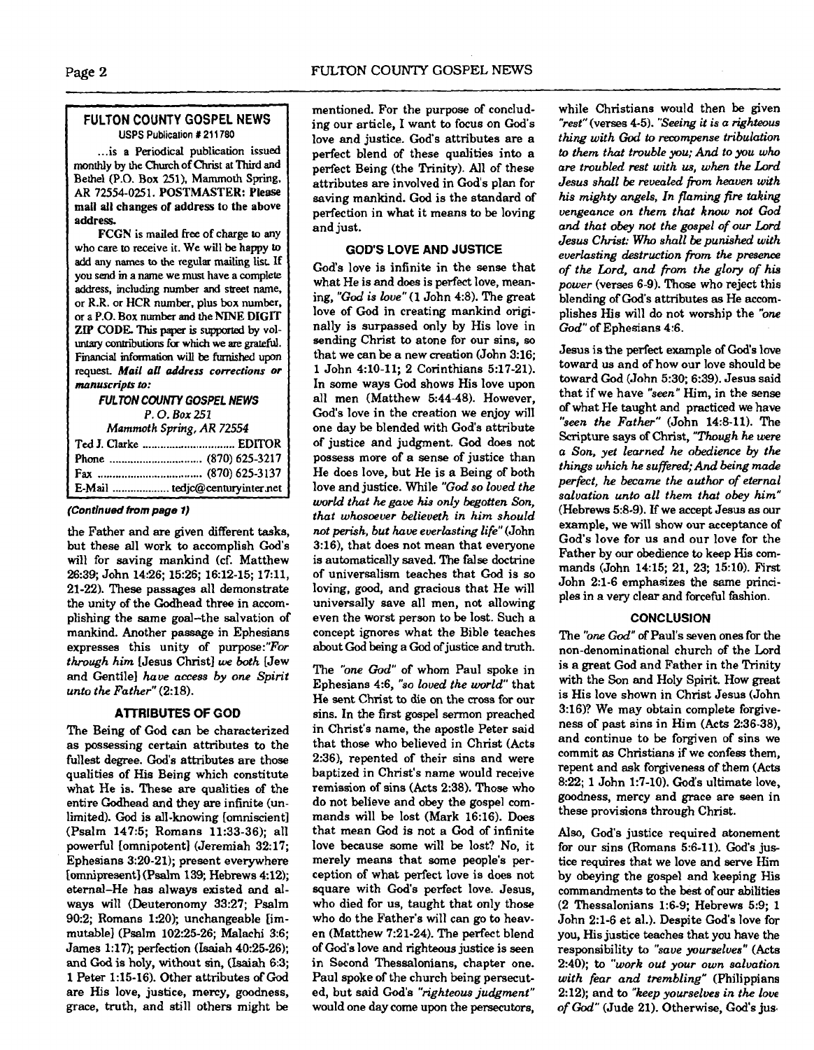# **FULTON COUNTY GOSPEL NEWS USPS Publication # 211780**

... is a Periodical publication issued monthly by the Church of Christ at Third and Bethel (P.O. Box 251). Mammoth Spring. AR 72554-025 1. POSTMASTER: Please mail all changes of address to the above address.

**FCGN** is mailed free of charge to any who care to receive it. We will be happy **to**  add any names **to** the regular mailing lisr If you send **m a** name we must have a complete ; address, including number and **street name,**  <sup>I</sup>or R.R. or HCR number. plus box number. **a a P.O.** Box number and the **NINE** DIGIT **ZIP CODE This** paper is suppofted by voluntary contributions for which we are grateful. **Financial information** will be furnished upon request *Mail* **all address** *corrections or manuscripts* **to:** 

> **FULTON COUNTY GOSPEL NEWS** *P.* **0.** *Box* **<sup>251</sup>**

**Mammoth Spring,** *AR* **72554** 

| Phone  (870) 625-3217 |
|-----------------------|
|                       |
|                       |

### **(Continued from page 1)**

the Father and are given different tasks, but these all work to accomplish God's will for saving mankind (cf. Matthew 26.39; John 14:26; 15:26; 16:12-15; 17:11, 21-22). These passages all demonstrate the unity of the Godhead three in accomplishing the same goal-the salvation of mankind. Another passage in Ephesians expresses this unity of purpose:"For *through him* [Jesus Christ] **w** *both* [Jew and Gentile] *have access by one Spirit unto the Father"* (2:18).

### **AlTRlBUTES OF GOD**

The Being of God can be characterized as possessing certain attributes to the fullest degree. God's attributes are those qualities of His Being which constitute what He is. These are qualities of the entire Godhead and they are infinite (unlimited). God is all-knowing [omniscient] (Psalm 147:5; Romans 11:33-36); all powerful [omnipotent] (Jeremiah 3217; Ephesians 3:20-21); present everywhere [omnipresent] (Psalm 139; Hebrews 4:12); eternal-He has always existed and always will (Deuteronomy 33:27; Psalm 90:2; Romans 1:20); unchangeable [immutable] (Psalm 10225-26; Malachi 3:6; James 1:17); perfection (Isaiah 40:25-26); and God is holy, without sin, **(Isaiah** 6:3; 1 Peter 1:15-16). Other attributes of **God**  are His love, justice, mercy, goodness, grace, truth, and still others might be

mentioned. For the purpose of concluding our article, I want to focus on Cod's love and justice. God's attributes are a perfect blend of these qualities into a perfect Being (the Trinity). All of these attributes **are** involved in God's plan for saving mankind. God is the standard of perfection in what it means to be loving and just.

# **GOD'S LOVE AND JUSTICE**

God's love is infinite in the sense that what He is and does is perfect love, meaning, ''God *is love"* (1 John 4:8). The great love of God in creating mankind originally is surpassed only by His love in sending Christ to atone for our sins, so that we can be a new creation (John 3:16; 1 John 4:lO-11; 2 Corinthians 5:17-21). In some ways God shows His love upon all men (Matthew 54448). However, God's love in the creation we enjoy will one **dav** be blended with God's attribute of justice and judgment. God does not possess more of a sense of justice than He does love, but He is a Being of both love and justice. While **''God** so *loved the*  **world** *that he gace hia only begotten* **Son,**  *that whosoever believeth in him should not perish, but have everlasting life"* (John 3:16), that does not mean that everyone is automatically saved. The false doctrine of universalism teaches that God is so loving, good, and gracious that He will universally save all men, not allowing even the worst person to be lost. Such a concept ignores what the Bible teaches about God being a God of justice and truth.

The *'one God"* of whom Paul spoke in Ephesians 4:6, "so *loved the world"* that *He* sent Christ to die on the cross for our sins. In the first gospel sermon preached in Christ's name, the apostle Peter said that those who believed in Christ (Acts 2:36), repented of their sins and were baptized in Christ's name would receive remission of sins (Acts 2:38). Those who do not believe and obey the gospel commands will be lost (Mark 16:16). Does that mean God is not a God of infinite love because some will be lost? No, it merely means that some people's perception of what perfect love is does not square with God's perfect love. Jesus, who died for us, taught that only those who do the Father's will can go to heaven (Matthew 7:21-24). The perfect blend of God's love and righteous justice is seen in Second Thessalonians, chapter one. Paul spoke of the church being persecuted, but said God's "righteous judgment" would one day come upon the persecutors,

while Christians would then be given *"rest"* (verses 4-5). **"Seeing** it *is a* **righteous**  *thing with God to recompense tribulation to them that trouble* **you;** *And to you who are troubled test with* **us,** *when the* Lord *Jesus shall be revealed fiom heaven with*  **his** *mighty angels, In flaming fire taking vengeance on them that know not God and that* **obey** *not the gospel of our Lord Jesw Christ: Who shall be punished with everlasting destruction from the presence*  of *the Lord, and from the glory* **of** *his power* (verses 6-9). Those who reject this blending of God's attributes **as** He accomplishes His will do not worship the *"one God"* of Ephesians 4:6.

Jesus is the perfect example of **God's** love toward us and of how our love should be toward God (John 5:30; 6:39). Jesus said that if we have *"seen"* Him, in the sense of what He taught and practiced we have "seen the Father" (John 14:8-11). The Scripture says of Christ, *"Though* he were *a Son, yet learned he obedience by the things which he suffered;And being* **made**  *perfect, he became the author of eternal salvation unto all them that obey him"*  (Hebrews 5:8-9). **If** we accept Jesus **as** our example, we will show our acceptance of God's love for us and our love for the Father by our obedience to keep His commands (John 1415; 21, 23; 1510). **First**  John 2:l-6 emphasizes the same principles in a very clear and forceful fashion.

# **CONCLUSION**

The *"one* God" of Paul's seven ones for the non-denominational church of the Lord is a great God and Father in the Trinity with the Son and Holy Spirit. How great is His love shown in Christ Jesus (John 3:16)? We may obtain complete forgiveness of past sins in Him (Acts 2:36-38), and continue to be forgiven of sins we commit **as** Christians if we confess them, repent and ask forgiveness of them (Acts 8:22; 1 John 1:7-10). God's ultimate love, goodness, mercy and grace are seen in these provisions through Christ.

Also, God's justice required atonement for our sins (Romans 5:6-11). God's justice requires that we love and serve Him by obeying the gospel and keeping His commandments to the best of our abilities (2 Thessalonians 1:6-9; Hebrews 5:9; 1 John 2:l-6 et al.). Despite God's love for you, His justice teaches that you have the responsibility to *"save yourselves"* (Acts 2:40); *to "work* out *your own salvation with fear and trembling"* (Philippians 2:12); and to "keep yourselves in the love of *God"* (Jude 21). Otherwise, God's jus.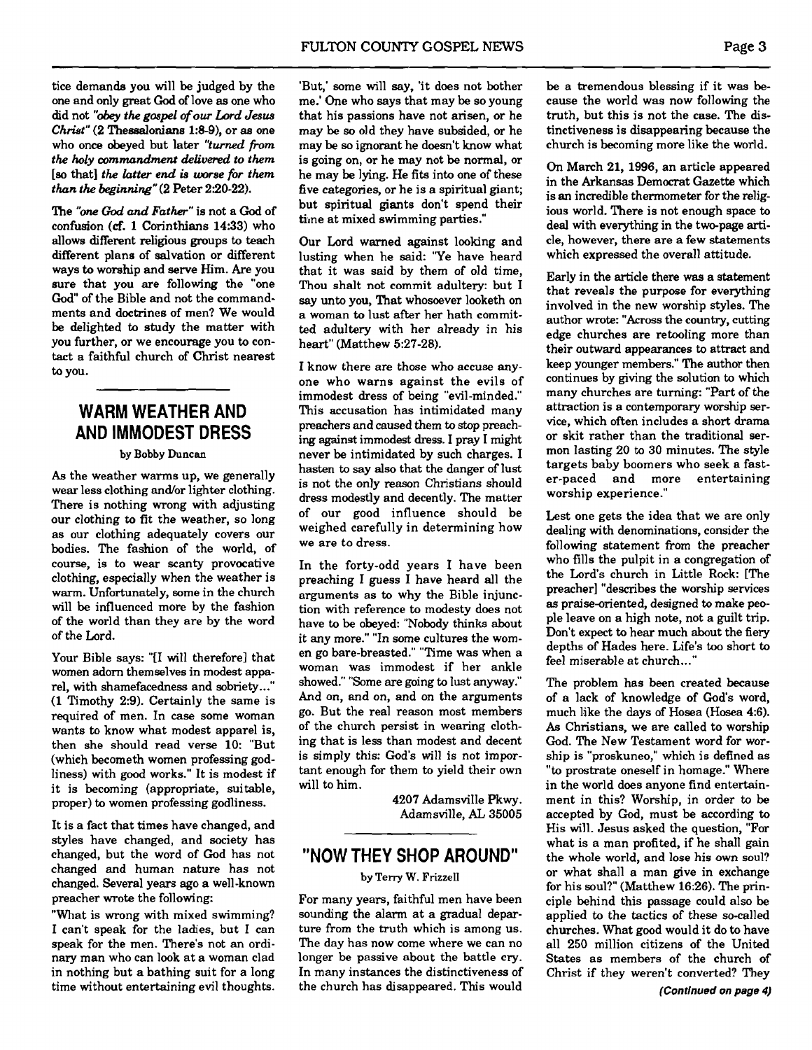tice demands you will be judged by the one and only great **God** of love **as** one who did not "obey *the* gospel of ow Lord *Jesus*  **Christ"** (2 Thessalonians 1:8-9), or **as** one who once obeyed but later "turned *fiom the holy commandment &fivered to them [so* that] *the hatter end* **is** *worse for them than the beginning"* (2 Peter 2:20-22).

The "one God *and Father"* is not a **God** of confusion **(cf.** 1 Corinthians 14:33) who allows different religious groups to teach different plans of salvation or different ways to worship and serve Him. Are you sure that you are following the "one God" of the Bible and not the commandments and doctrines of men? We would be delighted to study the matter with you further, or we encourage you to contact a faithful church of Christ nearest **to** you.

# **WARM WEATHER AND AND IMMODEST DRESS**

### **by Bobby Duncan**

As the weather warms up, we generally wear less clothing and/or lighter clothing. There is nothing wrong with adjusting our clothing **to** fit the weather, so long as our clothing adequately covers our bodies. The fashion of the world, of course, is to wear scanty provocative clothing, especially when the weather is warm. Unfortunately, some in the church will be influenced more by the fashion of the world than they are by the word of the Lord.

Your Bible says: "[I will therefore] that women adorn themselves in modest apparel, with shamefacedness and sobriety..." (1 Timothy 2:9). Certainly the same is required of men. In case some woman wants to know what modest apparel is, then she should read verse 10: "But (which becometh women professing godliness) with good works." It is modest if it is becoming (appropriate, suitable, proper) to women professing godliness.

It is a fact that times have changed, and styles have changed, and society has changed, but the word of God has not changed and human nature has not changed. Several years ago a well-known preacher wrote the following:

"What is wrong with mixed swimming? I can't speak for the ladies, but I can speak for the men. There's not an ordinary man who can look at a woman clad in nothing but a bathing suit for a long time without entertaining evil thoughts.

'But,' some will say, 'it does not bother me.' One who says that may be so young that his passions have not arisen, or he may be so old they have subsided, or he may be so ignorant he doesn't know what is going on, or he may not be normal, or he may be lying. He fits into one of these five categories, or he is a spiritual giant; but spiritual giants don't spend their time at mixed swimming parties."

Our Lord warned against looking and lusting when he said: 'Ye have heard that it was said by them of old time, Thou shalt not commit adultery: but I say unto you, That whosoever looketh on a woman to lust after her hath committed adultery with her already in his heart" (Matthew 5:27-28).

I know there are those who accuse anyone who warns against the evils of immodest dress of being "evil-minded." This accusation has intimidated many preachers and caused them to stop preaching against immodest dress. I pray I might never be intimidated by such charges. I hasten to say also that the danger of lust is not the only reason Christians should dress modestly and decently. The matter of our good influence should be weighed carefully in determining how we are to dress.

In the forty-odd years I have been preaching I guess I have heard all the arguments as to why the Bible injunction with reference to modesty does not have to be obeyed: "Nobody thinks about it any more." "In some cultures the women go bare-breasted." "Time was when a woman was immodest if her ankle showed." "Some are going to lust anyway." And on, and on, and on the arguments go. But the real reason most members of the church persist in wearing clothing that is less than modest and decent is simply this: God's will is not important enough for them to yield their own will to him.

> 4207 Adamsville Pkwy. Adamsville, **AL** 35005

# **"NOW THEY SHOP AROUND"**

### **by Terry W. Frizzell**

For many years, faithful men have been sounding the alarm at a gradual departure from the truth which is among us. The day has now come where we can no longer be passive about the battle cry. In many instances the distinctiveness of the church has disappeared. This would

be a tremendous blessing if it was because the world was now following the truth, but this is not the case. The distinctiveness is disappearing because the church is becoming more like the world.

On March 21, 1996, an article appeared in the Arkansas Democrat Gazette which is an incredible thermometer for the religious world. There is not enough space to deal with everything in the two-page **arti**cle, however, there are a few statements which expressed the overall attitude.

Early in the article there was a statement that reveals the purpose for everything involved in the new worship styles. The author wrote: "Across the country, cutting edge churches are retooling more than their outward appearances to attract and keep younger members." The author then continues by giving the solution to which many churches are turning: "Part of the attraction is a contemporary worship service, which often includes a short drama or skit rather than the traditional sermon lasting 20 to 30 minutes. The style targets baby boomers who seek a faster-paced and more entertaining worship experience."

Lest one gets the idea that we are only dealing with denominations, consider the following statement from the preacher who fills the pulpit in a congregation of the Lord's church in Little Rock: [The preacher] "describes the worship services as praise-oriented, designed to make people leave on a high note, not a guilt trip. Don't expect to hear much about the fiery depths of Hades here. Life's too short to feel miserable at church...'

The problem has been created because of a lack of knowledge of God's word, much like the days of Hosea (Hosea 4:6). As Christians, we are called to worship God. The New Testament word for worship is "proskuneo," which is defined as "to prostrate oneself in homage." Where in the world does anyone find entertainment in this? Worship, in order to be accepted by God, must be according to His will. Jesus asked the question, "For what is a man profited, if he shall gain the whole world, and lose his own soul? or what shall a man give in exchange for his soul?" (Matthew 16:26). The principle behind this passage could also be applied to the tactics of these so-called churches. What good would it do to have all 250 million citizens of the United States as members of the church of Christ if they weren't converted? They